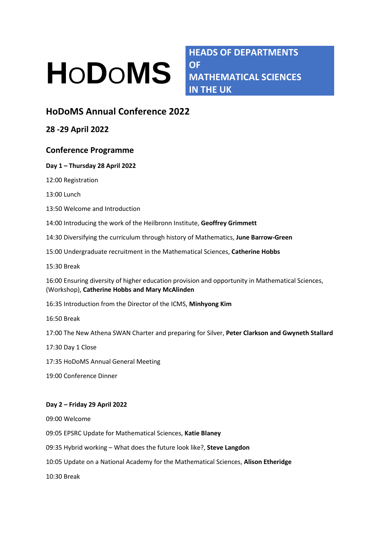# **H**O**D**O**MS**

**HEADS OF DEPARTMENTS OF MATHEMATICAL SCIENCES IN THE UK**

# **HoDoMS Annual Conference 2022**

**28 -29 April 2022**

## **Conference Programme**

### **Day 1 – Thursday 28 April 2022**

12:00 Registration

13:00 Lunch

13:50 Welcome and Introduction

14:00 Introducing the work of the Heilbronn Institute, **Geoffrey Grimmett**

14:30 Diversifying the curriculum through history of Mathematics, **June Barrow-Green**

15:00 Undergraduate recruitment in the Mathematical Sciences, **Catherine Hobbs**

15:30 Break

16:00 Ensuring diversity of higher education provision and opportunity in Mathematical Sciences, (Workshop), **Catherine Hobbs and Mary McAlinden**

16:35 Introduction from the Director of the ICMS, **Minhyong Kim**

16:50 Break

17:00 The New Athena SWAN Charter and preparing for Silver, **Peter Clarkson and Gwyneth Stallard**

17:30 Day 1 Close

17:35 HoDoMS Annual General Meeting

19:00 Conference Dinner

#### **Day 2 – Friday 29 April 2022**

09:00 Welcome

09:05 EPSRC Update for Mathematical Sciences, **Katie Blaney**

09:35 Hybrid working – What does the future look like?, **Steve Langdon**

10:05 Update on a National Academy for the Mathematical Sciences, **Alison Etheridge**

10:30 Break